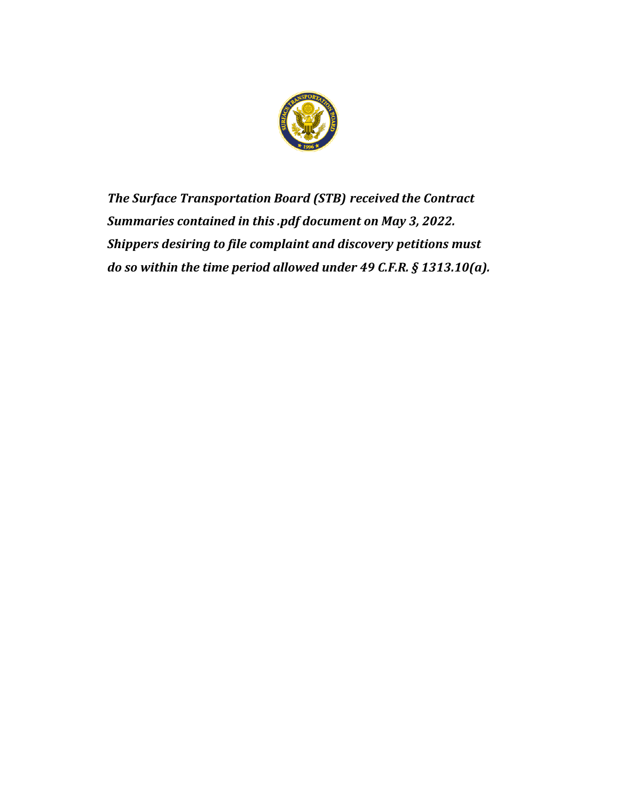

*The Surface Transportation Board (STB) received the Contract Summaries contained in this .pdf document on May 3, 2022. Shippers desiring to file complaint and discovery petitions must do so within the time period allowed under 49 C.F.R. § 1313.10(a).*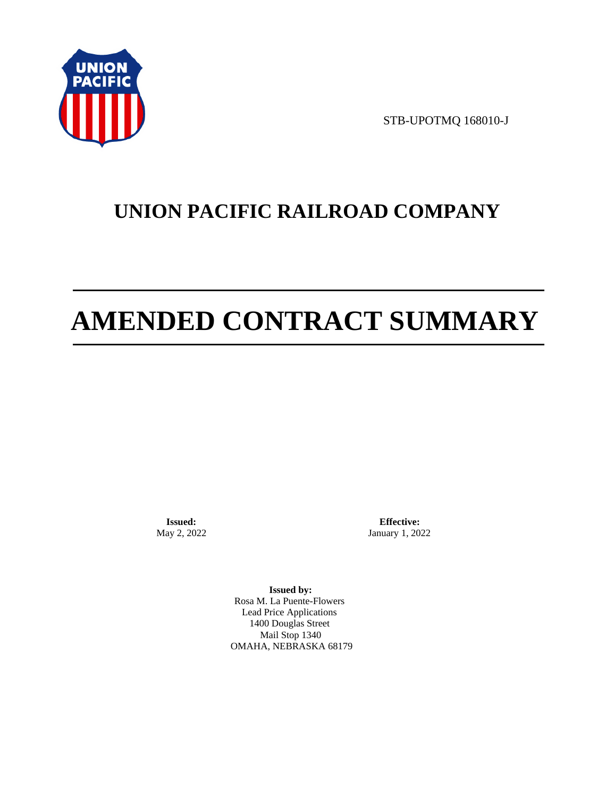

STB-UPOTMQ 168010-J

# **UNION PACIFIC RAILROAD COMPANY**

# **AMENDED CONTRACT SUMMARY**

**Issued:**  May 2, 2022

**Effective:** January 1, 2022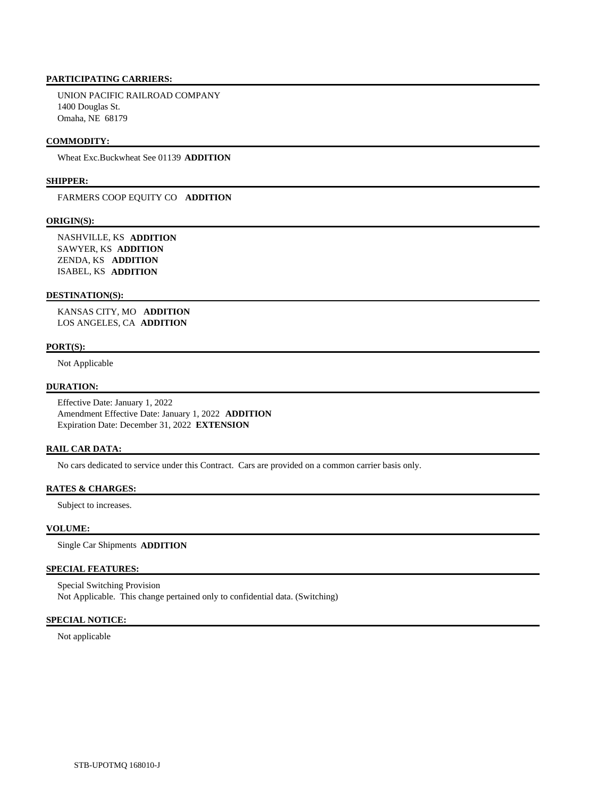UNION PACIFIC RAILROAD COMPANY 1400 Douglas St. Omaha, NE 68179

#### **COMMODITY:**

Wheat Exc.Buckwheat See 01139 **ADDITION** 

#### **SHIPPER:**

FARMERS COOP EQUITY CO **ADDITION** 

#### **ORIGIN(S):**

 NASHVILLE, KS **ADDITION**  SAWYER, KS **ADDITION**  ZENDA, KS **ADDITION**  ISABEL, KS **ADDITION** 

#### **DESTINATION(S):**

 KANSAS CITY, MO **ADDITION**  LOS ANGELES, CA **ADDITION** 

#### **PORT(S):**

Not Applicable

#### **DURATION:**

 Effective Date: January 1, 2022 Amendment Effective Date: January 1, 2022 **ADDITION**  Expiration Date: December 31, 2022 **EXTENSION** 

#### **RAIL CAR DATA:**

No cars dedicated to service under this Contract. Cars are provided on a common carrier basis only.

## **RATES & CHARGES:**

Subject to increases.

#### **VOLUME:**

Single Car Shipments **ADDITION** 

#### **SPECIAL FEATURES:**

 Special Switching Provision Not Applicable. This change pertained only to confidential data. (Switching)

### **SPECIAL NOTICE:**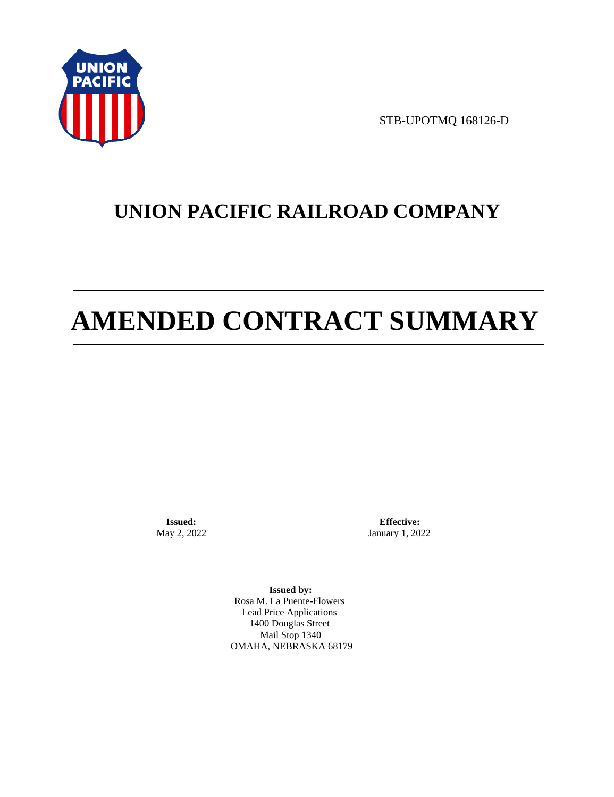

STB-UPOTMQ 168126-D

# **UNION PACIFIC RAILROAD COMPANY**

# **AMENDED CONTRACT SUMMARY**

**Issued:**  May 2, 2022

**Effective:** January 1, 2022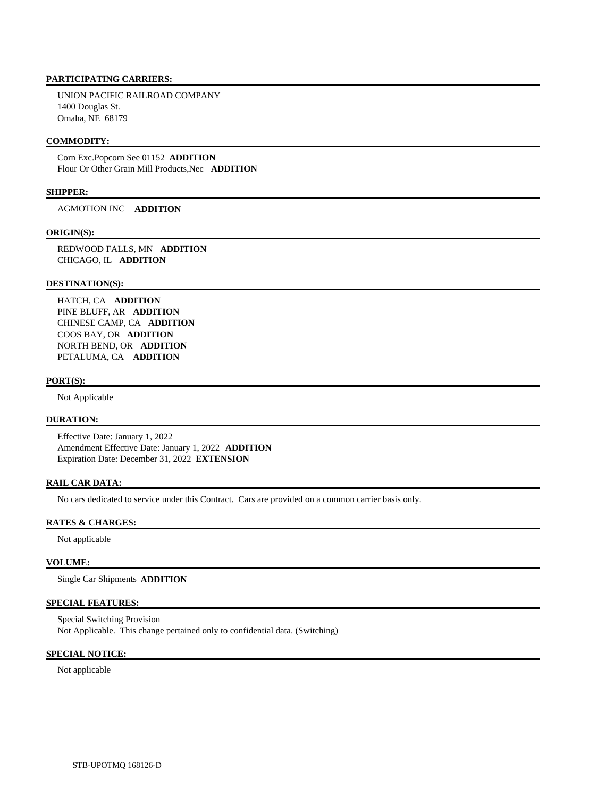UNION PACIFIC RAILROAD COMPANY 1400 Douglas St. Omaha, NE 68179

#### **COMMODITY:**

 Corn Exc.Popcorn See 01152 **ADDITION**  Flour Or Other Grain Mill Products,Nec **ADDITION** 

#### **SHIPPER:**

AGMOTION INC **ADDITION** 

#### **ORIGIN(S):**

 REDWOOD FALLS, MN **ADDITION**  CHICAGO, IL **ADDITION** 

#### **DESTINATION(S):**

 HATCH, CA **ADDITION**  PINE BLUFF, AR **ADDITION**  CHINESE CAMP, CA **ADDITION**  COOS BAY, OR **ADDITION**  NORTH BEND, OR **ADDITION**  PETALUMA, CA **ADDITION** 

#### **PORT(S):**

Not Applicable

# **DURATION:**

 Effective Date: January 1, 2022 Amendment Effective Date: January 1, 2022 **ADDITION**  Expiration Date: December 31, 2022 **EXTENSION** 

#### **RAIL CAR DATA:**

No cars dedicated to service under this Contract. Cars are provided on a common carrier basis only.

### **RATES & CHARGES:**

Not applicable

#### **VOLUME:**

Single Car Shipments **ADDITION** 

#### **SPECIAL FEATURES:**

 Special Switching Provision Not Applicable. This change pertained only to confidential data. (Switching)

#### **SPECIAL NOTICE:**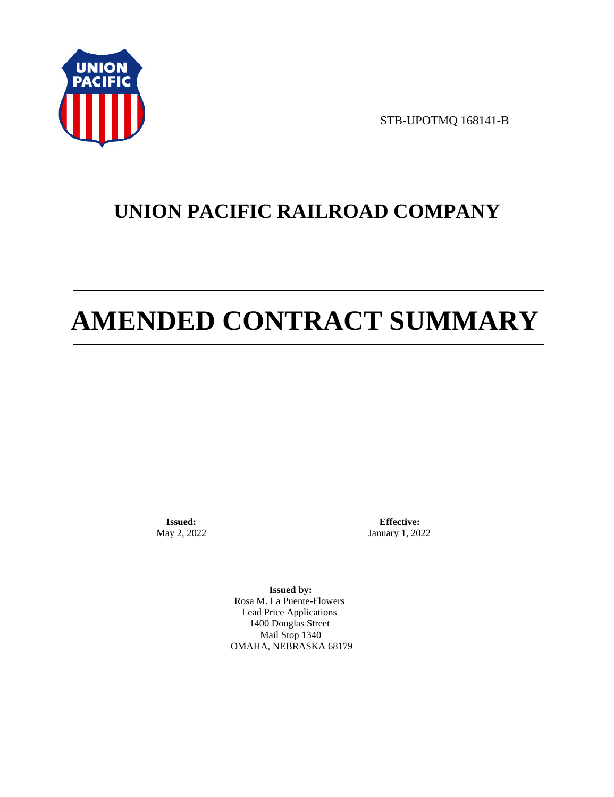

STB-UPOTMQ 168141-B

# **UNION PACIFIC RAILROAD COMPANY**

# **AMENDED CONTRACT SUMMARY**

**Issued:**  May 2, 2022

**Effective:** January 1, 2022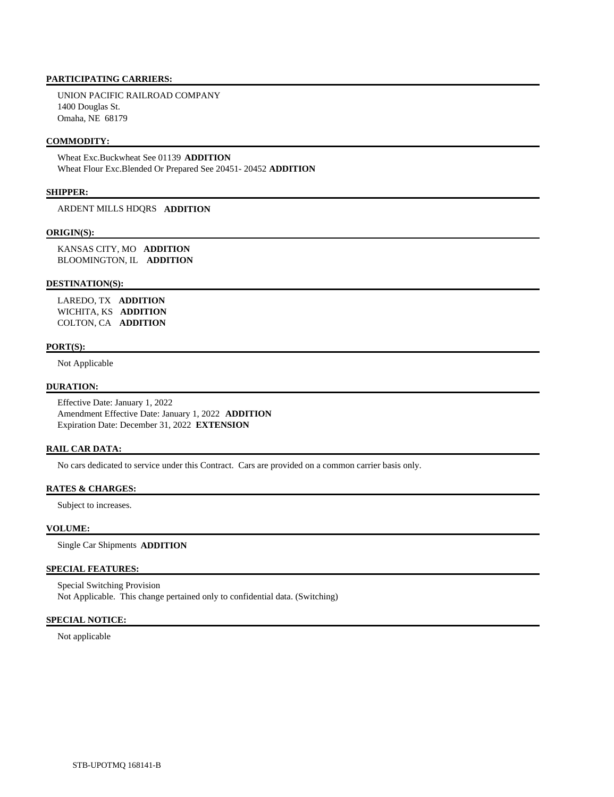UNION PACIFIC RAILROAD COMPANY 1400 Douglas St. Omaha, NE 68179

#### **COMMODITY:**

 Wheat Exc.Buckwheat See 01139 **ADDITION**  Wheat Flour Exc.Blended Or Prepared See 20451- 20452 **ADDITION** 

#### **SHIPPER:**

ARDENT MILLS HDQRS **ADDITION** 

#### **ORIGIN(S):**

 KANSAS CITY, MO **ADDITION**  BLOOMINGTON, IL **ADDITION** 

#### **DESTINATION(S):**

 LAREDO, TX **ADDITION**  WICHITA, KS **ADDITION**  COLTON, CA **ADDITION** 

#### **PORT(S):**

Not Applicable

#### **DURATION:**

 Effective Date: January 1, 2022 Amendment Effective Date: January 1, 2022 **ADDITION**  Expiration Date: December 31, 2022 **EXTENSION** 

#### **RAIL CAR DATA:**

No cars dedicated to service under this Contract. Cars are provided on a common carrier basis only.

## **RATES & CHARGES:**

Subject to increases.

#### **VOLUME:**

Single Car Shipments **ADDITION** 

#### **SPECIAL FEATURES:**

 Special Switching Provision Not Applicable. This change pertained only to confidential data. (Switching)

## **SPECIAL NOTICE:**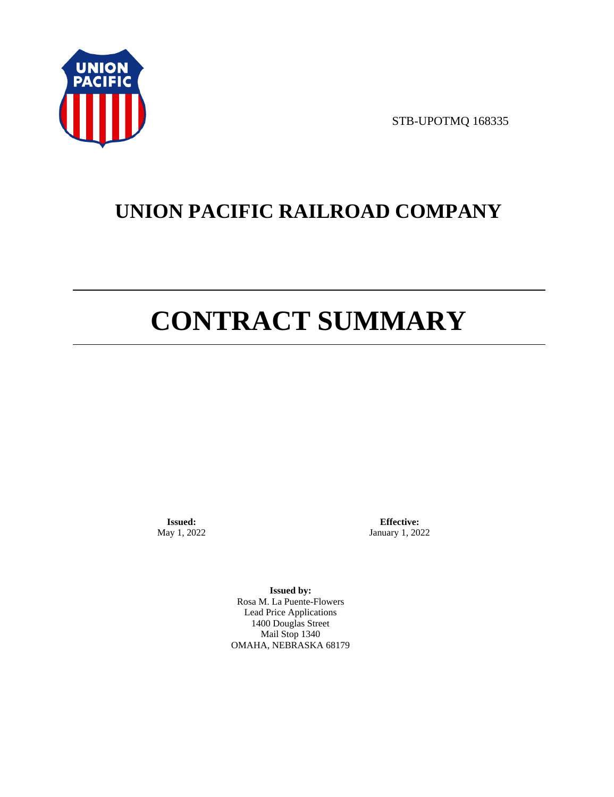

STB-UPOTMQ 168335

# **UNION PACIFIC RAILROAD COMPANY**

# **CONTRACT SUMMARY**

**Issued:**  May 1, 2022

**Effective:** January 1, 2022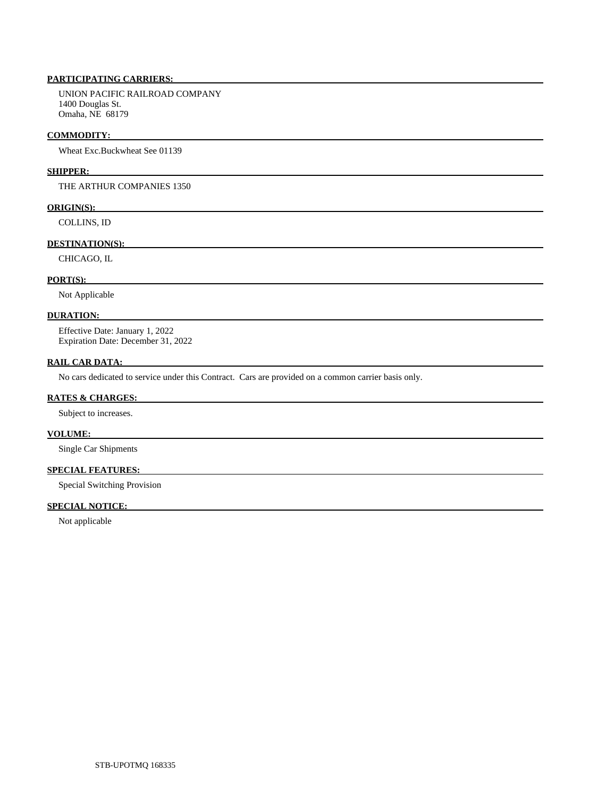UNION PACIFIC RAILROAD COMPANY 1400 Douglas St. Omaha, NE 68179

#### **COMMODITY:**

Wheat Exc.Buckwheat See 01139

#### **SHIPPER:**

THE ARTHUR COMPANIES 1350

#### **ORIGIN(S):**

COLLINS, ID

#### **DESTINATION(S):**

CHICAGO, IL

#### **PORT(S):**

Not Applicable

#### **DURATION:**

 Effective Date: January 1, 2022 Expiration Date: December 31, 2022

#### **RAIL CAR DATA:**

No cars dedicated to service under this Contract. Cars are provided on a common carrier basis only.

#### **RATES & CHARGES:**

Subject to increases.

# **VOLUME:**

Single Car Shipments

# **SPECIAL FEATURES:**

Special Switching Provision

# **SPECIAL NOTICE:**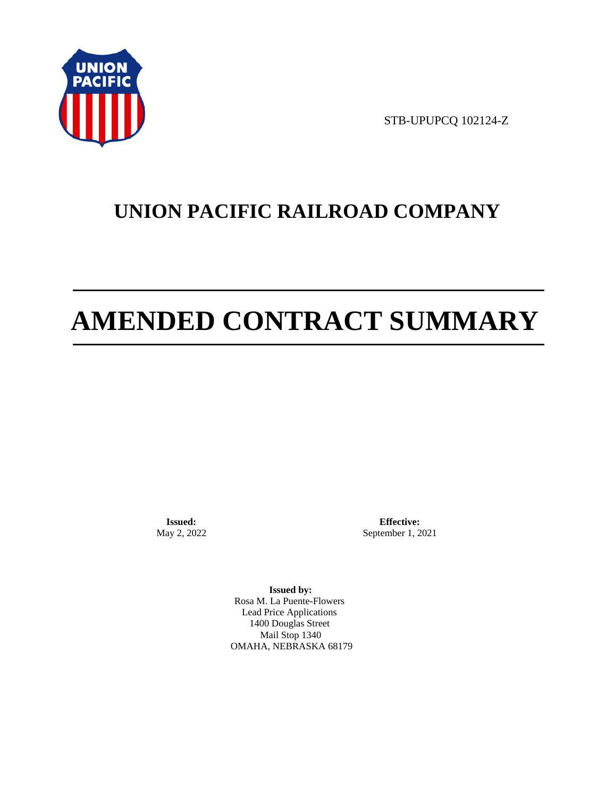

STB-UPUPCQ 102124-Z

# **UNION PACIFIC RAILROAD COMPANY**

# **AMENDED CONTRACT SUMMARY**

**Issued:**  May 2, 2022

**Effective:** September 1, 2021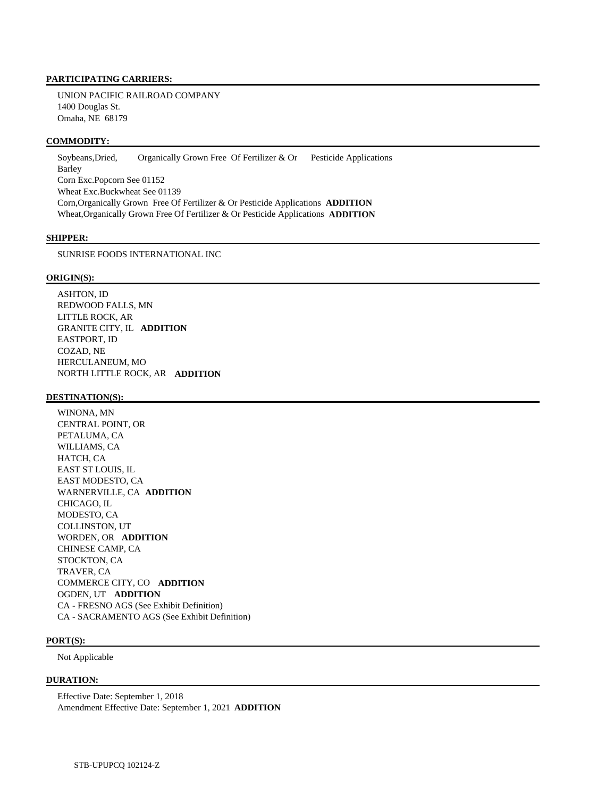UNION PACIFIC RAILROAD COMPANY 1400 Douglas St. Omaha, NE 68179

#### **COMMODITY:**

Soybeans, Dried, Organically Grown Free Of Fertilizer & Or Pesticide Applications Barley Corn Exc.Popcorn See 01152 Wheat Exc.Buckwheat See 01139 Corn,Organically Grown Free Of Fertilizer & Or Pesticide Applications **ADDITION**  Wheat,Organically Grown Free Of Fertilizer & Or Pesticide Applications **ADDITION** 

#### **SHIPPER:**

SUNRISE FOODS INTERNATIONAL INC

#### **ORIGIN(S):**

 ASHTON, ID REDWOOD FALLS, MN LITTLE ROCK, AR GRANITE CITY, IL **ADDITION**  EASTPORT, ID COZAD, NE HERCULANEUM, MO NORTH LITTLE ROCK, AR **ADDITION** 

#### **DESTINATION(S):**

 WINONA, MN CENTRAL POINT, OR PETALUMA, CA WILLIAMS, CA HATCH, CA EAST ST LOUIS, IL EAST MODESTO, CA WARNERVILLE, CA **ADDITION**  CHICAGO, IL MODESTO, CA COLLINSTON, UT WORDEN, OR **ADDITION**  CHINESE CAMP, CA STOCKTON, CA TRAVER, CA COMMERCE CITY, CO **ADDITION**  OGDEN, UT **ADDITION**  CA - FRESNO AGS (See Exhibit Definition) CA - SACRAMENTO AGS (See Exhibit Definition)

#### **PORT(S):**

Not Applicable

#### **DURATION:**

 Effective Date: September 1, 2018 Amendment Effective Date: September 1, 2021 **ADDITION**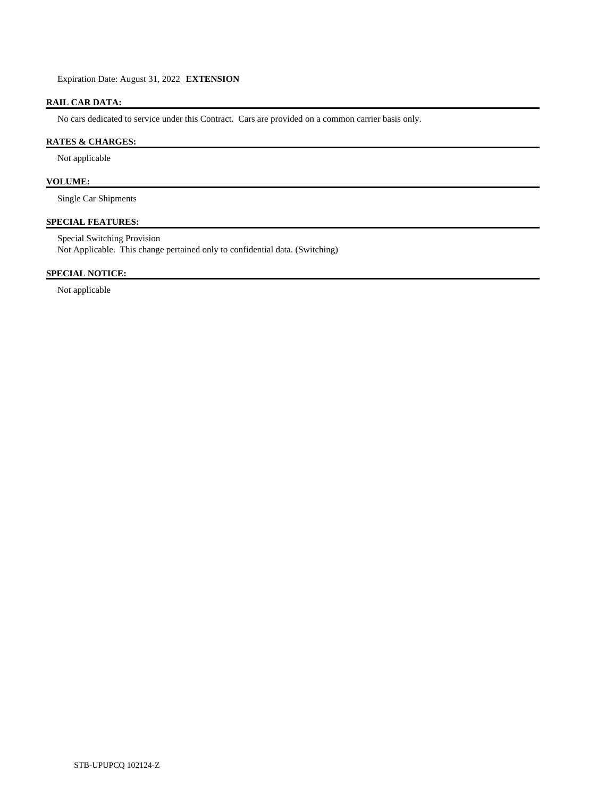Expiration Date: August 31, 2022 **EXTENSION** 

# **RAIL CAR DATA:**

No cars dedicated to service under this Contract. Cars are provided on a common carrier basis only.

# **RATES & CHARGES:**

Not applicable

# **VOLUME:**

Single Car Shipments

# **SPECIAL FEATURES:**

 Special Switching Provision Not Applicable. This change pertained only to confidential data. (Switching)

## **SPECIAL NOTICE:**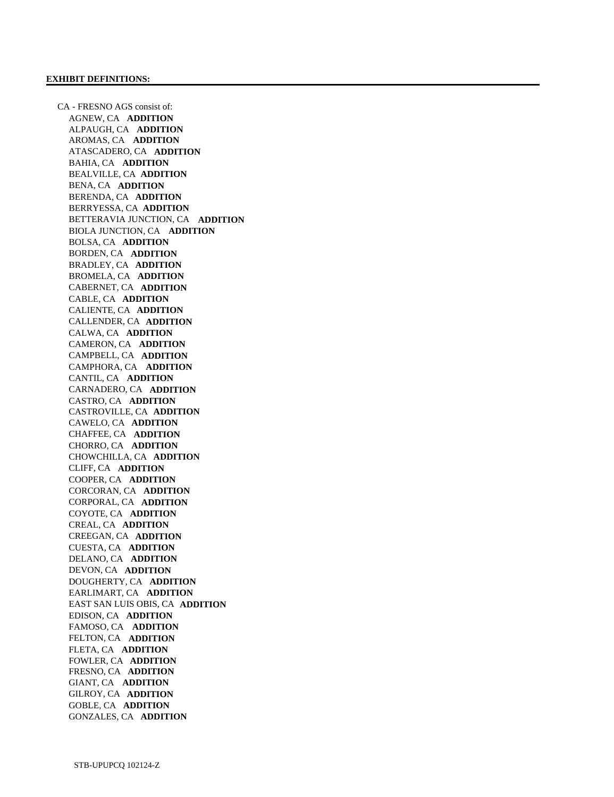CA - FRESNO AGS consist of: AGNEW, CA **ADDITION**  ALPAUGH, CA **ADDITION**  AROMAS, CA **ADDITION**  ATASCADERO, CA **ADDITION**  BAHIA, CA **ADDITION**  BEALVILLE, CA **ADDITION**  BENA, CA **ADDITION**  BERENDA, CA **ADDITION**  BERRYESSA, CA **ADDITION**  BETTERAVIA JUNCTION, CA **ADDITION**  BIOLA JUNCTION, CA **ADDITION**  BOLSA, CA **ADDITION**  BORDEN, CA **ADDITION**  BRADLEY, CA **ADDITION**  BROMELA, CA **ADDITION**  CABERNET, CA **ADDITION**  CABLE, CA **ADDITION**  CALIENTE, CA **ADDITION**  CALLENDER, CA **ADDITION**  CALWA, CA **ADDITION**  CAMERON, CA **ADDITION**  CAMPBELL, CA **ADDITION**  CAMPHORA, CA **ADDITION**  CANTIL, CA **ADDITION**  CARNADERO, CA **ADDITION**  CASTRO, CA **ADDITION**  CASTROVILLE, CA **ADDITION**  CAWELO, CA **ADDITION**  CHAFFEE, CA **ADDITION**  CHORRO, CA **ADDITION**  CHOWCHILLA, CA **ADDITION**  CLIFF, CA **ADDITION**  COOPER, CA **ADDITION**  CORCORAN, CA **ADDITION**  CORPORAL, CA **ADDITION**  COYOTE, CA **ADDITION**  CREAL, CA **ADDITION**  CREEGAN, CA **ADDITION**  CUESTA, CA **ADDITION**  DELANO, CA **ADDITION**  DEVON, CA **ADDITION**  DOUGHERTY, CA **ADDITION**  EARLIMART, CA **ADDITION**  EAST SAN LUIS OBIS, CA **ADDITION**  EDISON, CA **ADDITION**  FAMOSO, CA **ADDITION**  FELTON, CA **ADDITION**  FLETA, CA **ADDITION**  FOWLER, CA **ADDITION**  FRESNO, CA **ADDITION**  GIANT, CA **ADDITION**  GILROY, CA **ADDITION**  GOBLE, CA **ADDITION**  GONZALES, CA **ADDITION**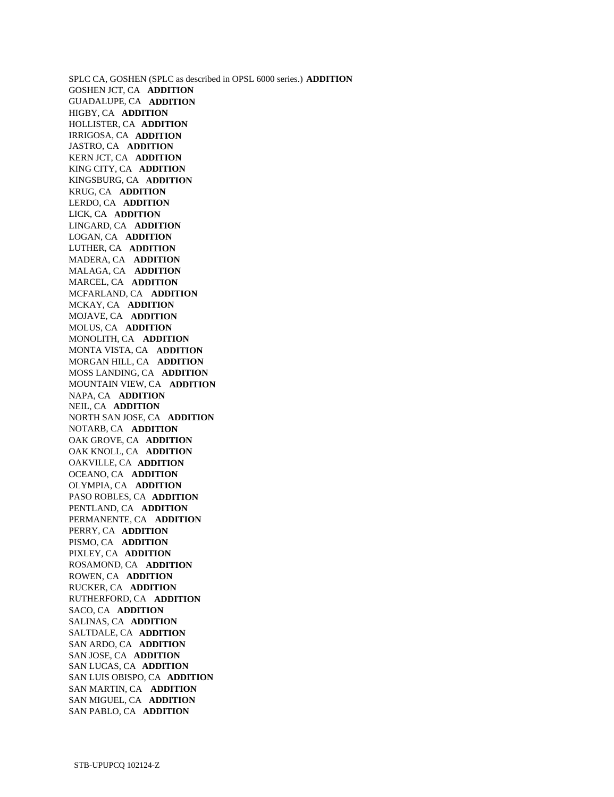SPLC CA, GOSHEN (SPLC as described in OPSL 6000 series.) **ADDITION**  GOSHEN JCT, CA **ADDITION**  GUADALUPE, CA **ADDITION**  HIGBY, CA **ADDITION**  HOLLISTER, CA **ADDITION**  IRRIGOSA, CA **ADDITION**  JASTRO, CA **ADDITION**  KERN JCT, CA **ADDITION**  KING CITY, CA **ADDITION**  KINGSBURG, CA **ADDITION**  KRUG, CA **ADDITION**  LERDO, CA **ADDITION**  LICK, CA **ADDITION**  LINGARD, CA **ADDITION**  LOGAN, CA **ADDITION**  LUTHER, CA **ADDITION**  MADERA, CA **ADDITION**  MALAGA, CA **ADDITION**  MARCEL, CA **ADDITION**  MCFARLAND, CA **ADDITION**  MCKAY, CA **ADDITION**  MOJAVE, CA **ADDITION**  MOLUS, CA **ADDITION**  MONOLITH, CA **ADDITION**  MONTA VISTA, CA **ADDITION**  MORGAN HILL, CA **ADDITION**  MOSS LANDING, CA **ADDITION**  MOUNTAIN VIEW, CA **ADDITION**  NAPA, CA **ADDITION**  NEIL, CA **ADDITION**  NORTH SAN JOSE, CA **ADDITION**  NOTARB, CA **ADDITION**  OAK GROVE, CA **ADDITION**  OAK KNOLL, CA **ADDITION**  OAKVILLE, CA **ADDITION**  OCEANO, CA **ADDITION**  OLYMPIA, CA **ADDITION**  PASO ROBLES, CA **ADDITION**  PENTLAND, CA **ADDITION**  PERMANENTE, CA **ADDITION**  PERRY, CA **ADDITION**  PISMO, CA **ADDITION**  PIXLEY, CA **ADDITION**  ROSAMOND, CA **ADDITION**  ROWEN, CA **ADDITION**  RUCKER, CA **ADDITION**  RUTHERFORD, CA **ADDITION**  SACO, CA **ADDITION**  SALINAS, CA **ADDITION**  SALTDALE, CA **ADDITION**  SAN ARDO, CA **ADDITION**  SAN JOSE, CA **ADDITION**  SAN LUCAS, CA **ADDITION**  SAN LUIS OBISPO, CA **ADDITION**  SAN MARTIN, CA **ADDITION**  SAN MIGUEL, CA **ADDITION**  SAN PABLO, CA **ADDITION**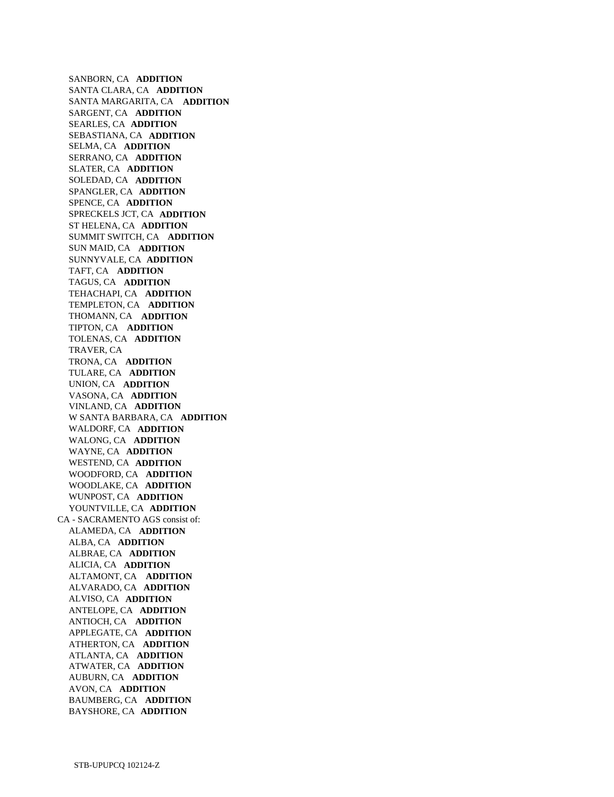SANBORN, CA **ADDITION**  SANTA CLARA, CA **ADDITION**  SANTA MARGARITA, CA **ADDITION**  SARGENT, CA **ADDITION**  SEARLES, CA **ADDITION**  SEBASTIANA, CA **ADDITION**  SELMA, CA **ADDITION**  SERRANO, CA **ADDITION**  SLATER, CA **ADDITION**  SOLEDAD, CA **ADDITION**  SPANGLER, CA **ADDITION**  SPENCE, CA **ADDITION**  SPRECKELS JCT, CA **ADDITION**  ST HELENA, CA **ADDITION**  SUMMIT SWITCH, CA **ADDITION**  SUN MAID, CA **ADDITION**  SUNNYVALE, CA **ADDITION**  TAFT, CA **ADDITION**  TAGUS, CA **ADDITION**  TEHACHAPI, CA **ADDITION**  TEMPLETON, CA **ADDITION**  THOMANN, CA **ADDITION**  TIPTON, CA **ADDITION**  TOLENAS, CA **ADDITION**  TRAVER, CA TRONA, CA **ADDITION**  TULARE, CA **ADDITION**  UNION, CA **ADDITION**  VASONA, CA **ADDITION**  VINLAND, CA **ADDITION**  W SANTA BARBARA, CA **ADDITION**  WALDORF, CA **ADDITION**  WALONG, CA **ADDITION**  WAYNE, CA **ADDITION**  WESTEND, CA **ADDITION**  WOODFORD, CA **ADDITION**  WOODLAKE, CA **ADDITION**  WUNPOST, CA **ADDITION**  YOUNTVILLE, CA **ADDITION**  CA - SACRAMENTO AGS consist of: ALAMEDA, CA **ADDITION**  ALBA, CA **ADDITION**  ALBRAE, CA **ADDITION**  ALICIA, CA **ADDITION**  ALTAMONT, CA **ADDITION**  ALVARADO, CA **ADDITION**  ALVISO, CA **ADDITION**  ANTELOPE, CA **ADDITION**  ANTIOCH, CA **ADDITION**  APPLEGATE, CA **ADDITION**  ATHERTON, CA **ADDITION**  ATLANTA, CA **ADDITION**  ATWATER, CA **ADDITION**  AUBURN, CA **ADDITION**  AVON, CA **ADDITION**  BAUMBERG, CA **ADDITION**  BAYSHORE, CA **ADDITION**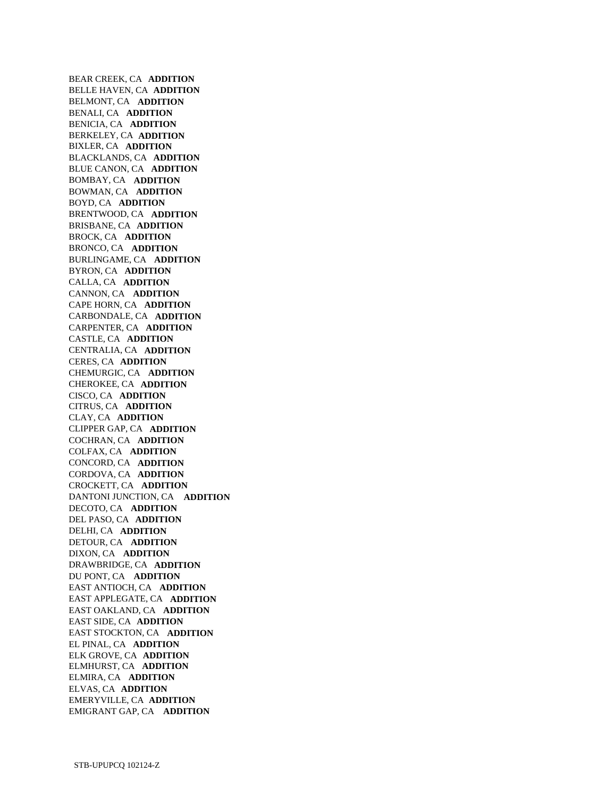BEAR CREEK, CA **ADDITION**  BELLE HAVEN, CA **ADDITION**  BELMONT, CA **ADDITION**  BENALI, CA **ADDITION**  BENICIA, CA **ADDITION**  BERKELEY, CA **ADDITION**  BIXLER, CA **ADDITION**  BLACKLANDS, CA **ADDITION**  BLUE CANON, CA **ADDITION**  BOMBAY, CA **ADDITION**  BOWMAN, CA **ADDITION**  BOYD, CA **ADDITION**  BRENTWOOD, CA **ADDITION**  BRISBANE, CA **ADDITION**  BROCK, CA **ADDITION**  BRONCO, CA **ADDITION**  BURLINGAME, CA **ADDITION**  BYRON, CA **ADDITION**  CALLA, CA **ADDITION**  CANNON, CA **ADDITION**  CAPE HORN, CA **ADDITION**  CARBONDALE, CA **ADDITION**  CARPENTER, CA **ADDITION**  CASTLE, CA **ADDITION**  CENTRALIA, CA **ADDITION**  CERES, CA **ADDITION**  CHEMURGIC, CA **ADDITION**  CHEROKEE, CA **ADDITION**  CISCO, CA **ADDITION**  CITRUS, CA **ADDITION**  CLAY, CA **ADDITION**  CLIPPER GAP, CA **ADDITION**  COCHRAN, CA **ADDITION**  COLFAX, CA **ADDITION**  CONCORD, CA **ADDITION**  CORDOVA, CA **ADDITION**  CROCKETT, CA **ADDITION**  DANTONI JUNCTION, CA **ADDITION**  DECOTO, CA **ADDITION**  DEL PASO, CA **ADDITION**  DELHI, CA **ADDITION**  DETOUR, CA **ADDITION**  DIXON, CA **ADDITION**  DRAWBRIDGE, CA **ADDITION**  DU PONT, CA **ADDITION**  EAST ANTIOCH, CA **ADDITION**  EAST APPLEGATE, CA **ADDITION**  EAST OAKLAND, CA **ADDITION**  EAST SIDE, CA **ADDITION**  EAST STOCKTON, CA **ADDITION**  EL PINAL, CA **ADDITION**  ELK GROVE, CA **ADDITION**  ELMHURST, CA **ADDITION**  ELMIRA, CA **ADDITION**  ELVAS, CA **ADDITION**  EMERYVILLE, CA **ADDITION**  EMIGRANT GAP, CA **ADDITION**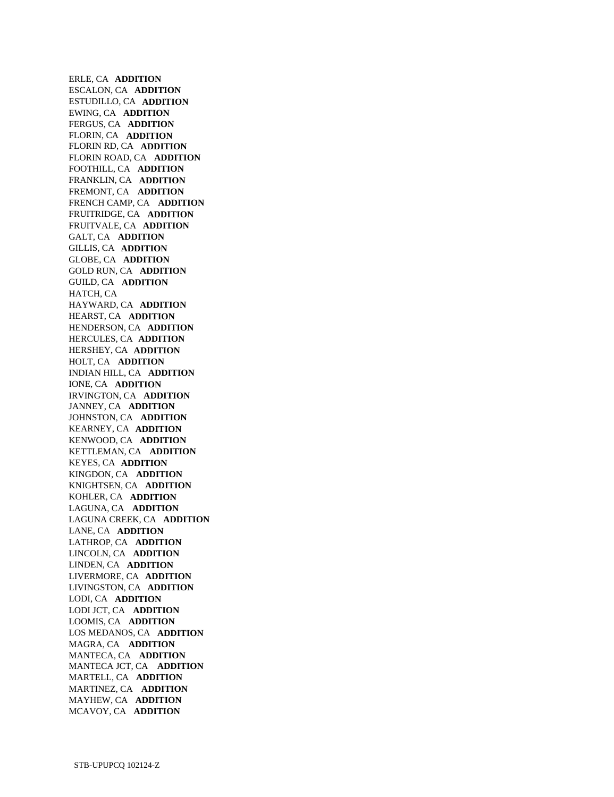ERLE, CA **ADDITION**  ESCALON, CA **ADDITION**  ESTUDILLO, CA **ADDITION**  EWING, CA **ADDITION**  FERGUS, CA **ADDITION**  FLORIN, CA **ADDITION**  FLORIN RD, CA **ADDITION**  FLORIN ROAD, CA **ADDITION**  FOOTHILL, CA **ADDITION**  FRANKLIN, CA **ADDITION**  FREMONT, CA **ADDITION**  FRENCH CAMP, CA **ADDITION**  FRUITRIDGE, CA **ADDITION**  FRUITVALE, CA **ADDITION**  GALT, CA **ADDITION**  GILLIS, CA **ADDITION**  GLOBE, CA **ADDITION**  GOLD RUN, CA **ADDITION**  GUILD, CA **ADDITION**  HATCH, CA HAYWARD, CA **ADDITION**  HEARST, CA **ADDITION**  HENDERSON, CA **ADDITION**  HERCULES, CA **ADDITION**  HERSHEY, CA **ADDITION**  HOLT, CA **ADDITION**  INDIAN HILL, CA **ADDITION**  IONE, CA **ADDITION**  IRVINGTON, CA **ADDITION**  JANNEY, CA **ADDITION**  JOHNSTON, CA **ADDITION**  KEARNEY, CA **ADDITION**  KENWOOD, CA **ADDITION**  KETTLEMAN, CA **ADDITION**  KEYES, CA **ADDITION**  KINGDON, CA **ADDITION**  KNIGHTSEN, CA **ADDITION**  KOHLER, CA **ADDITION**  LAGUNA, CA **ADDITION**  LAGUNA CREEK, CA **ADDITION**  LANE, CA **ADDITION**  LATHROP, CA **ADDITION**  LINCOLN, CA **ADDITION**  LINDEN, CA **ADDITION**  LIVERMORE, CA **ADDITION**  LIVINGSTON, CA **ADDITION**  LODI, CA **ADDITION**  LODI JCT, CA **ADDITION**  LOOMIS, CA **ADDITION**  LOS MEDANOS, CA **ADDITION**  MAGRA, CA **ADDITION**  MANTECA, CA **ADDITION**  MANTECA JCT, CA **ADDITION**  MARTELL, CA **ADDITION**  MARTINEZ, CA **ADDITION**  MAYHEW, CA **ADDITION**  MCAVOY, CA **ADDITION**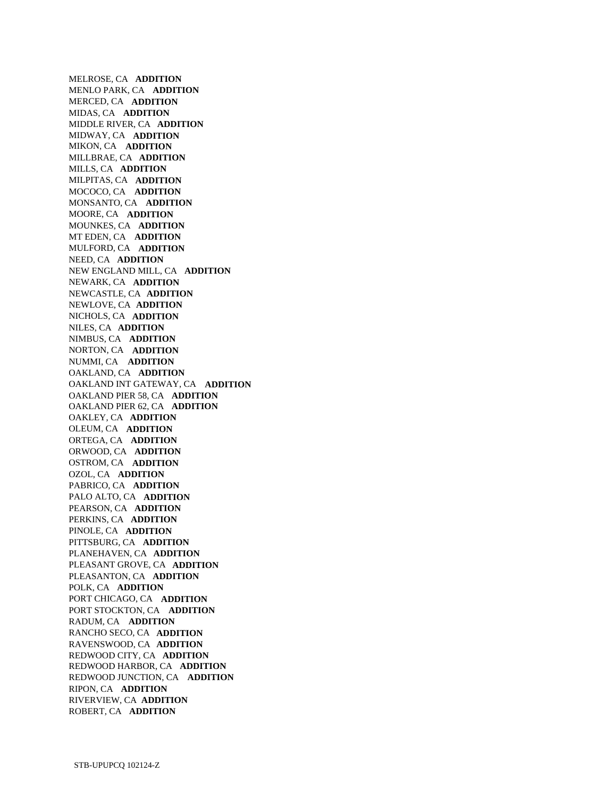MELROSE, CA **ADDITION**  MENLO PARK, CA **ADDITION**  MERCED, CA **ADDITION**  MIDAS, CA **ADDITION**  MIDDLE RIVER, CA **ADDITION**  MIDWAY, CA **ADDITION**  MIKON, CA **ADDITION**  MILLBRAE, CA **ADDITION**  MILLS, CA **ADDITION**  MILPITAS, CA **ADDITION**  MOCOCO, CA **ADDITION**  MONSANTO, CA **ADDITION**  MOORE, CA **ADDITION**  MOUNKES, CA **ADDITION**  MT EDEN, CA **ADDITION**  MULFORD, CA **ADDITION**  NEED, CA **ADDITION**  NEW ENGLAND MILL, CA **ADDITION**  NEWARK, CA **ADDITION**  NEWCASTLE, CA **ADDITION**  NEWLOVE, CA **ADDITION**  NICHOLS, CA **ADDITION**  NILES, CA **ADDITION**  NIMBUS, CA **ADDITION**  NORTON, CA **ADDITION**  NUMMI, CA **ADDITION**  OAKLAND, CA **ADDITION**  OAKLAND INT GATEWAY, CA **ADDITION**  OAKLAND PIER 58, CA **ADDITION**  OAKLAND PIER 62, CA **ADDITION**  OAKLEY, CA **ADDITION**  OLEUM, CA **ADDITION**  ORTEGA, CA **ADDITION**  ORWOOD, CA **ADDITION**  OSTROM, CA **ADDITION**  OZOL, CA **ADDITION**  PABRICO, CA **ADDITION**  PALO ALTO, CA **ADDITION**  PEARSON, CA **ADDITION**  PERKINS, CA **ADDITION**  PINOLE, CA **ADDITION**  PITTSBURG, CA **ADDITION**  PLANEHAVEN, CA **ADDITION**  PLEASANT GROVE, CA **ADDITION**  PLEASANTON, CA **ADDITION**  POLK, CA **ADDITION**  PORT CHICAGO, CA **ADDITION**  PORT STOCKTON, CA **ADDITION**  RADUM, CA **ADDITION**  RANCHO SECO, CA **ADDITION**  RAVENSWOOD, CA **ADDITION**  REDWOOD CITY, CA **ADDITION**  REDWOOD HARBOR, CA **ADDITION**  REDWOOD JUNCTION, CA **ADDITION**  RIPON, CA **ADDITION**  RIVERVIEW, CA **ADDITION**  ROBERT, CA **ADDITION**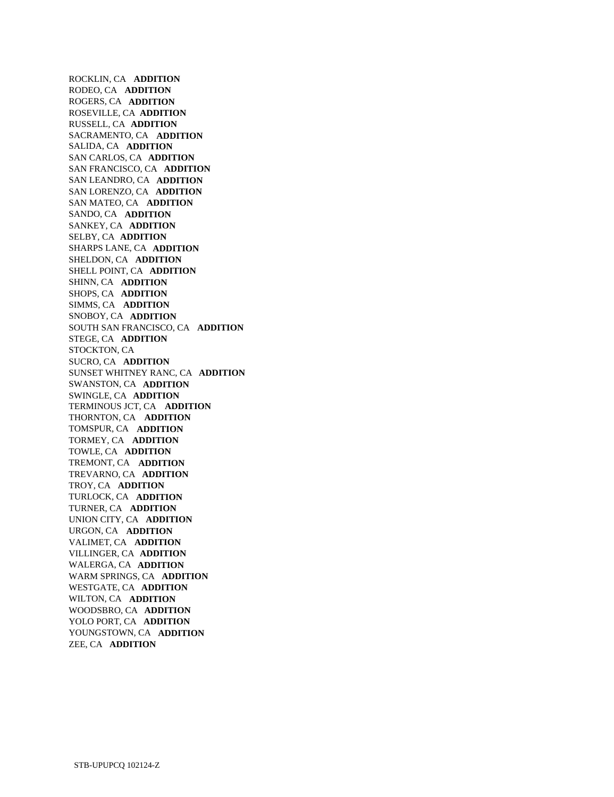ROCKLIN, CA **ADDITION**  RODEO, CA **ADDITION**  ROGERS, CA **ADDITION**  ROSEVILLE, CA **ADDITION**  RUSSELL, CA **ADDITION**  SACRAMENTO, CA **ADDITION**  SALIDA, CA **ADDITION**  SAN CARLOS, CA **ADDITION**  SAN FRANCISCO, CA **ADDITION**  SAN LEANDRO, CA **ADDITION**  SAN LORENZO, CA **ADDITION**  SAN MATEO, CA **ADDITION**  SANDO, CA **ADDITION**  SANKEY, CA **ADDITION**  SELBY, CA **ADDITION**  SHARPS LANE, CA **ADDITION**  SHELDON, CA **ADDITION**  SHELL POINT, CA **ADDITION**  SHINN, CA **ADDITION**  SHOPS, CA **ADDITION**  SIMMS, CA **ADDITION**  SNOBOY, CA **ADDITION**  SOUTH SAN FRANCISCO, CA **ADDITION**  STEGE, CA **ADDITION**  STOCKTON, CA SUCRO, CA **ADDITION**  SUNSET WHITNEY RANC, CA **ADDITION**  SWANSTON, CA **ADDITION**  SWINGLE, CA **ADDITION**  TERMINOUS JCT, CA **ADDITION**  THORNTON, CA **ADDITION**  TOMSPUR, CA **ADDITION**  TORMEY, CA **ADDITION**  TOWLE, CA **ADDITION**  TREMONT, CA **ADDITION**  TREVARNO, CA **ADDITION**  TROY, CA **ADDITION**  TURLOCK, CA **ADDITION**  TURNER, CA **ADDITION**  UNION CITY, CA **ADDITION**  URGON, CA **ADDITION**  VALIMET, CA **ADDITION**  VILLINGER, CA **ADDITION**  WALERGA, CA **ADDITION**  WARM SPRINGS, CA **ADDITION**  WESTGATE, CA **ADDITION**  WILTON, CA **ADDITION**  WOODSBRO, CA **ADDITION**  YOLO PORT, CA **ADDITION**  YOUNGSTOWN, CA **ADDITION**  ZEE, CA **ADDITION**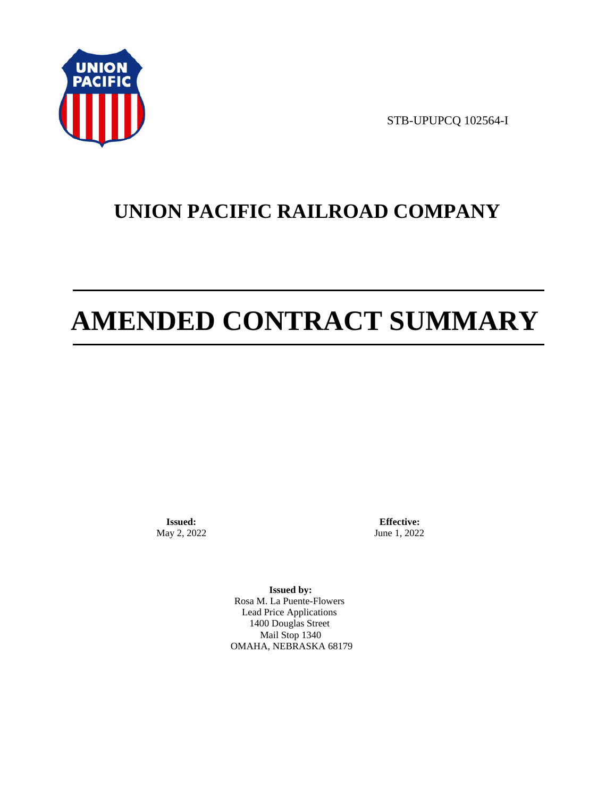

STB-UPUPCQ 102564-I

# **UNION PACIFIC RAILROAD COMPANY**

# **AMENDED CONTRACT SUMMARY**

**Issued:**  May 2, 2022

**Effective:** June 1, 2022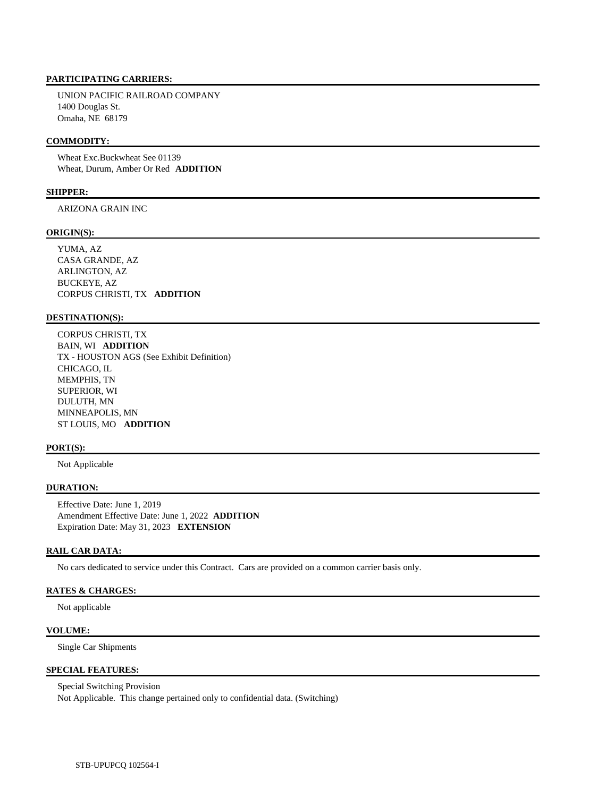UNION PACIFIC RAILROAD COMPANY 1400 Douglas St. Omaha, NE 68179

#### **COMMODITY:**

 Wheat Exc.Buckwheat See 01139 Wheat, Durum, Amber Or Red **ADDITION** 

#### **SHIPPER:**

ARIZONA GRAIN INC

#### **ORIGIN(S):**

 YUMA, AZ CASA GRANDE, AZ ARLINGTON, AZ BUCKEYE, AZ CORPUS CHRISTI, TX **ADDITION** 

#### **DESTINATION(S):**

 CORPUS CHRISTI, TX BAIN, WI **ADDITION**  TX - HOUSTON AGS (See Exhibit Definition) CHICAGO, IL MEMPHIS, TN SUPERIOR, WI DULUTH, MN MINNEAPOLIS, MN ST LOUIS, MO **ADDITION** 

#### **PORT(S):**

Not Applicable

#### **DURATION:**

 Effective Date: June 1, 2019 Amendment Effective Date: June 1, 2022 **ADDITION**  Expiration Date: May 31, 2023 **EXTENSION** 

## **RAIL CAR DATA:**

No cars dedicated to service under this Contract. Cars are provided on a common carrier basis only.

## **RATES & CHARGES:**

Not applicable

#### **VOLUME:**

Single Car Shipments

# **SPECIAL FEATURES:**

 Special Switching Provision Not Applicable. This change pertained only to confidential data. (Switching)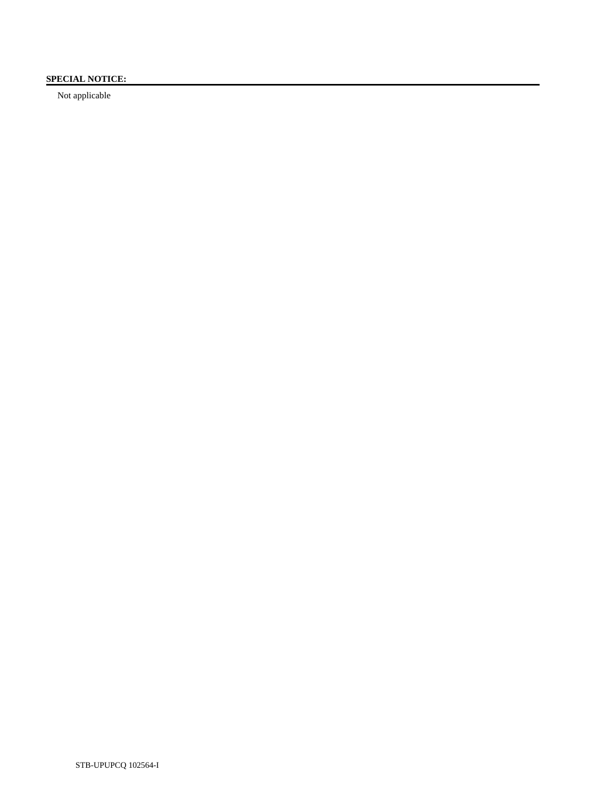# **SPECIAL NOTICE:**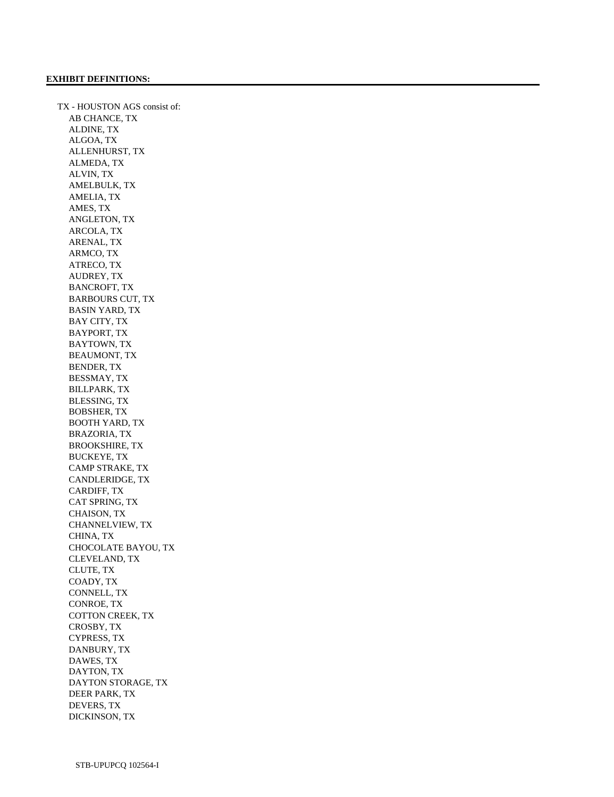TX - HOUSTON AGS consist of: AB CHANCE, TX ALDINE, TX ALGOA, TX ALLENHURST, TX ALMEDA, TX ALVIN, TX AMELBULK, TX AMELIA, TX AMES, TX ANGLETON, TX ARCOLA, TX ARENAL, TX ARMCO, TX ATRECO, TX AUDREY, TX BANCROFT, TX BARBOURS CUT, TX BASIN YARD, TX BAY CITY, TX BAYPORT, TX BAYTOWN, TX BEAUMONT, TX BENDER, TX BESSMAY, TX BILLPARK, TX BLESSING, TX BOBSHER, TX BOOTH YARD, TX BRAZORIA, TX BROOKSHIRE, TX BUCKEYE, TX CAMP STRAKE, TX CANDLERIDGE, TX CARDIFF, TX CAT SPRING, TX CHAISON, TX CHANNELVIEW, TX CHINA, TX CHOCOLATE BAYOU, TX CLEVELAND, TX CLUTE, TX COADY, TX CONNELL, TX CONROE, TX COTTON CREEK, TX CROSBY, TX CYPRESS, TX DANBURY, TX DAWES, TX DAYTON, TX DAYTON STORAGE, TX DEER PARK, TX DEVERS, TX DICKINSON, TX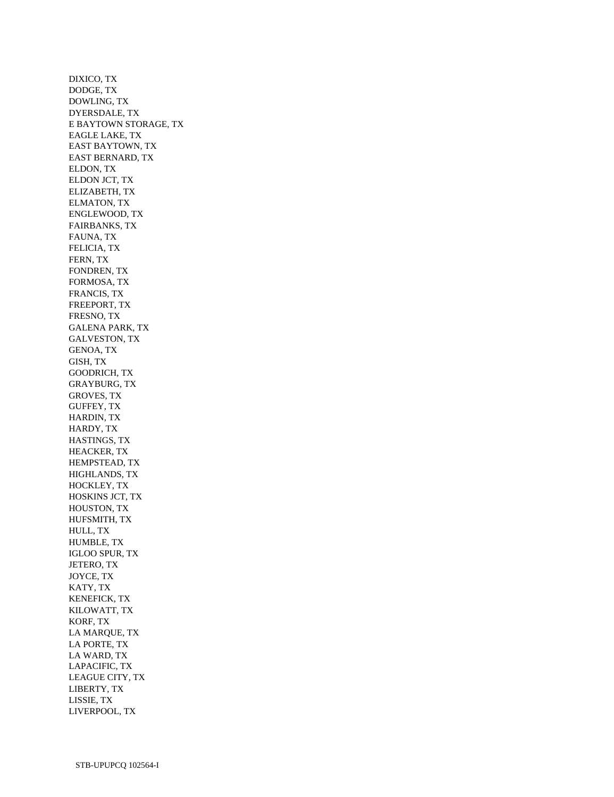DIXICO, TX DODGE, TX DOWLING, TX DYERSDALE, TX E BAYTOWN STORAGE, TX EAGLE LAKE, TX EAST BAYTOWN, TX EAST BERNARD, TX ELDON, TX ELDON JCT, TX ELIZABETH, TX ELMATON, TX ENGLEWOOD, TX FAIRBANKS, TX FAUNA, TX FELICIA, TX FERN, TX FONDREN, TX FORMOSA, TX FRANCIS, TX FREEPORT, TX FRESNO, TX GALENA PARK, TX GALVESTON, TX GENOA, TX GISH, TX GOODRICH, TX GRAYBURG, TX GROVES, TX GUFFEY, TX HARDIN, TX HARDY, TX HASTINGS, TX HEACKER, TX HEMPSTEAD, TX HIGHLANDS, TX HOCKLEY, TX HOSKINS JCT, TX HOUSTON, TX HUFSMITH, TX HULL, TX HUMBLE, TX IGLOO SPUR, TX JETERO, TX JOYCE, TX KATY, TX KENEFICK, TX KILOWATT, TX KORF, TX LA MARQUE, TX LA PORTE, TX LA WARD, TX LAPACIFIC, TX LEAGUE CITY, TX LIBERTY, TX LISSIE, TX LIVERPOOL, TX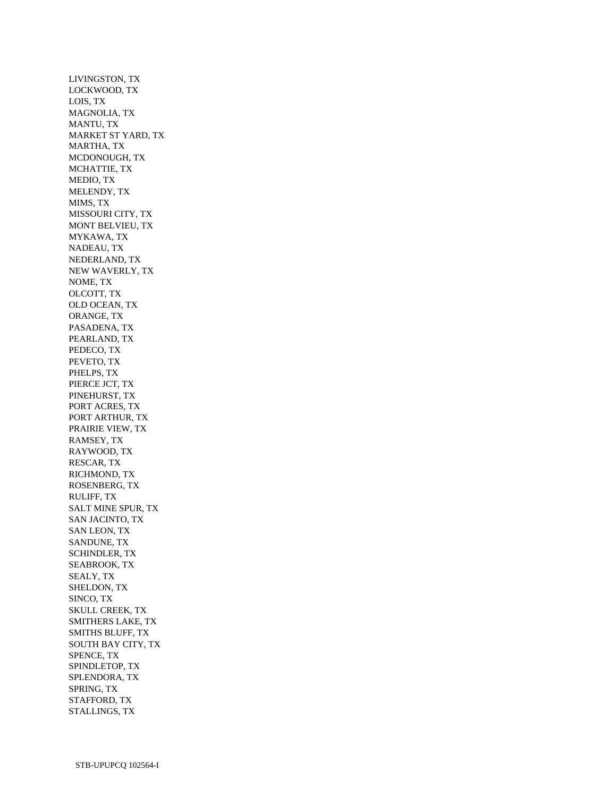LIVINGSTON, TX LOCKWOOD, TX LOIS, TX MAGNOLIA, TX MANTU, TX MARKET ST YARD, TX MARTHA, TX MCDONOUGH, TX MCHATTIE, TX MEDIO, TX MELENDY, TX MIMS, TX MISSOURI CITY, TX MONT BELVIEU, TX MYKAWA, TX NADEAU, TX NEDERLAND, TX NEW WAVERLY, TX NOME, TX OLCOTT, TX OLD OCEAN, TX ORANGE, TX PASADENA, TX PEARLAND, TX PEDECO, TX PEVETO, TX PHELPS, TX PIERCE JCT, TX PINEHURST, TX PORT ACRES, TX PORT ARTHUR, TX PRAIRIE VIEW, TX RAMSEY, TX RAYWOOD, TX RESCAR, TX RICHMOND, TX ROSENBERG, TX RULIFF, TX SALT MINE SPUR, TX SAN JACINTO, TX SAN LEON, TX SANDUNE, TX SCHINDLER, TX SEABROOK, TX SEALY, TX SHELDON, TX SINCO, TX SKULL CREEK, TX SMITHERS LAKE, TX SMITHS BLUFF, TX SOUTH BAY CITY, TX SPENCE, TX SPINDLETOP, TX SPLENDORA, TX SPRING, TX STAFFORD, TX STALLINGS, TX